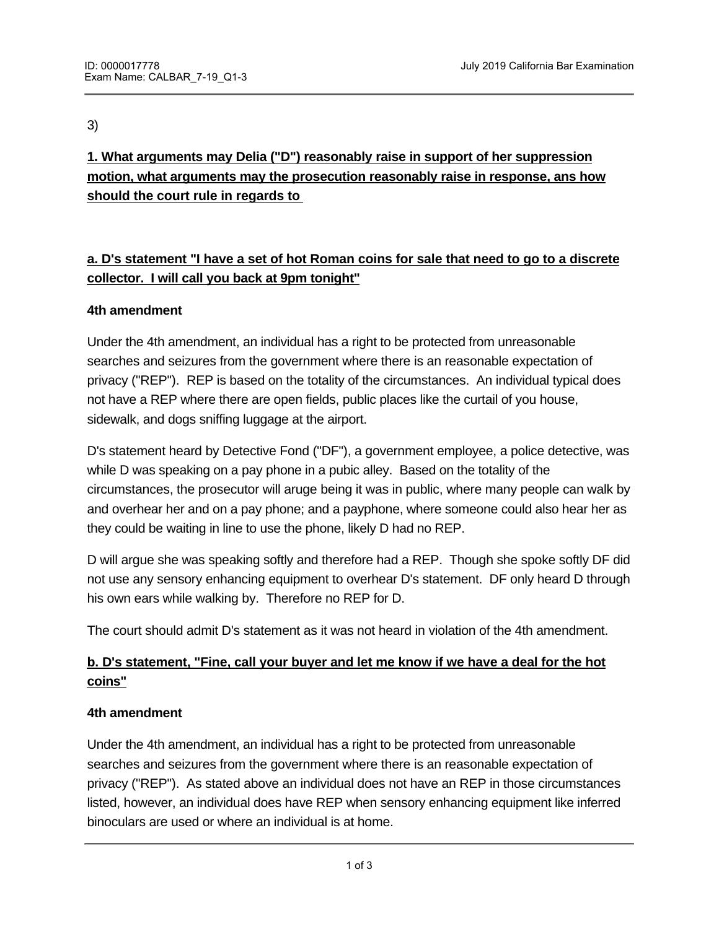3)

**1. What arguments may Delia ("D") reasonably raise in support of her suppression motion, what arguments may the prosecution reasonably raise in response, ans how should the court rule in regards to** 

# **a. D's statement "I have a set of hot Roman coins for sale that need to go to a discrete collector. I will call you back at 9pm tonight"**

## **4th amendment**

Under the 4th amendment, an individual has a right to be protected from unreasonable searches and seizures from the government where there is an reasonable expectation of privacy ("REP"). REP is based on the totality of the circumstances. An individual typical does not have a REP where there are open fields, public places like the curtail of you house, sidewalk, and dogs sniffing luggage at the airport.

D's statement heard by Detective Fond ("DF"), a government employee, a police detective, was while D was speaking on a pay phone in a pubic alley. Based on the totality of the circumstances, the prosecutor will aruge being it was in public, where many people can walk by and overhear her and on a pay phone; and a payphone, where someone could also hear her as they could be waiting in line to use the phone, likely D had no REP.

D will argue she was speaking softly and therefore had a REP. Though she spoke softly DF did not use any sensory enhancing equipment to overhear D's statement. DF only heard D through his own ears while walking by. Therefore no REP for D.

The court should admit D's statement as it was not heard in violation of the 4th amendment.

# **b. D's statement, "Fine, call your buyer and let me know if we have a deal for the hot coins"**

## **4th amendment**

Under the 4th amendment, an individual has a right to be protected from unreasonable searches and seizures from the government where there is an reasonable expectation of privacy ("REP"). As stated above an individual does not have an REP in those circumstances listed, however, an individual does have REP when sensory enhancing equipment like inferred binoculars are used or where an individual is at home.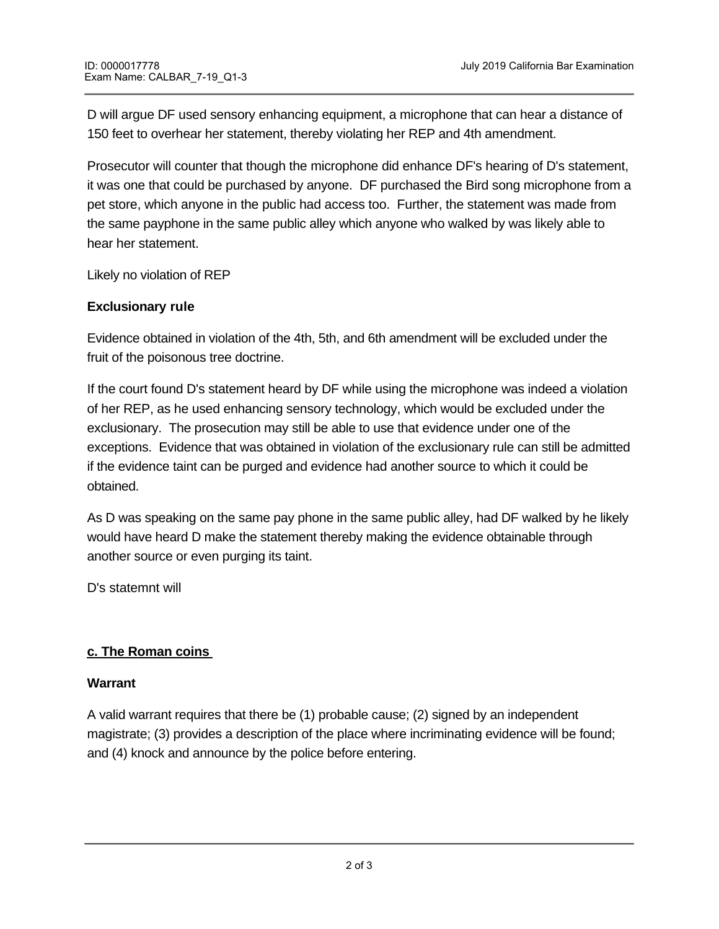D will argue DF used sensory enhancing equipment, a microphone that can hear a distance of 150 feet to overhear her statement, thereby violating her REP and 4th amendment.

Prosecutor will counter that though the microphone did enhance DF's hearing of D's statement, it was one that could be purchased by anyone. DF purchased the Bird song microphone from a pet store, which anyone in the public had access too. Further, the statement was made from the same payphone in the same public alley which anyone who walked by was likely able to hear her statement.

Likely no violation of REP

### **Exclusionary rule**

Evidence obtained in violation of the 4th, 5th, and 6th amendment will be excluded under the fruit of the poisonous tree doctrine.

If the court found D's statement heard by DF while using the microphone was indeed a violation of her REP, as he used enhancing sensory technology, which would be excluded under the exclusionary. The prosecution may still be able to use that evidence under one of the exceptions. Evidence that was obtained in violation of the exclusionary rule can still be admitted if the evidence taint can be purged and evidence had another source to which it could be obtained.

As D was speaking on the same pay phone in the same public alley, had DF walked by he likely would have heard D make the statement thereby making the evidence obtainable through another source or even purging its taint.

D's statemnt will

## **c. The Roman coins**

**2. Is Delia guilty of robbery?**

#### **Warrant**

A valid warrant requires that there be (1) probable cause; (2) signed by an independent magistrate; (3) provides a description of the place where incriminating evidence will be found; and (4) knock and announce by the police before entering.